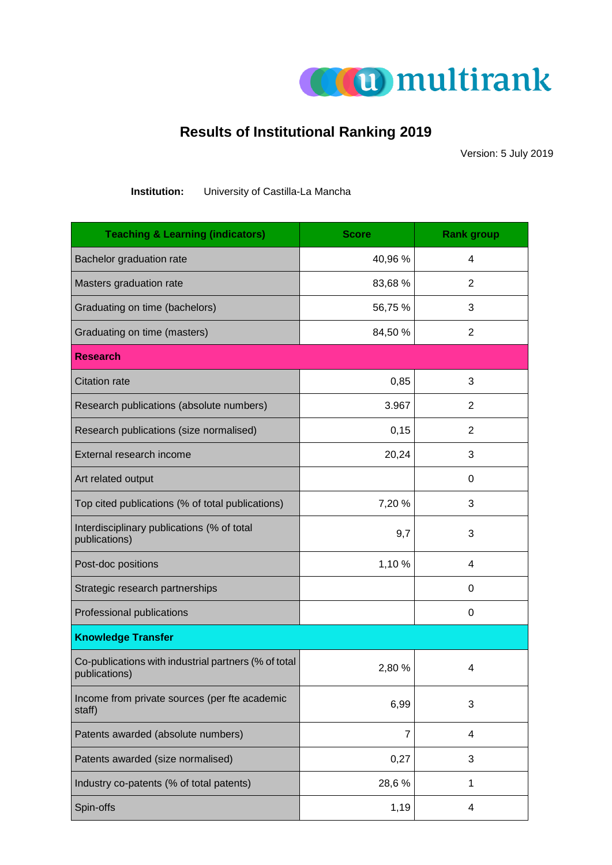

## **Results of Institutional Ranking 2019**

Version: 5 July 2019

**Institution:** University of Castilla-La Mancha

| <b>Teaching &amp; Learning (indicators)</b>                           | <b>Score</b> | <b>Rank group</b> |
|-----------------------------------------------------------------------|--------------|-------------------|
| Bachelor graduation rate                                              | 40,96 %      | 4                 |
| Masters graduation rate                                               | 83,68 %      | 2                 |
| Graduating on time (bachelors)                                        | 56,75 %      | 3                 |
| Graduating on time (masters)                                          | 84,50 %      | 2                 |
| <b>Research</b>                                                       |              |                   |
| <b>Citation rate</b>                                                  | 0,85         | 3                 |
| Research publications (absolute numbers)                              | 3.967        | 2                 |
| Research publications (size normalised)                               | 0,15         | 2                 |
| External research income                                              | 20,24        | 3                 |
| Art related output                                                    |              | 0                 |
| Top cited publications (% of total publications)                      | 7,20 %       | 3                 |
| Interdisciplinary publications (% of total<br>publications)           | 9,7          | 3                 |
| Post-doc positions                                                    | 1,10 %       | 4                 |
| Strategic research partnerships                                       |              | 0                 |
| Professional publications                                             |              | 0                 |
| <b>Knowledge Transfer</b>                                             |              |                   |
| Co-publications with industrial partners (% of total<br>publications) | 2,80 %       | 4                 |
| Income from private sources (per fte academic<br>staff)               | 6,99         | 3                 |
| Patents awarded (absolute numbers)                                    | 7            | 4                 |
| Patents awarded (size normalised)                                     | 0,27         | 3                 |
| Industry co-patents (% of total patents)                              | 28,6%        | 1                 |
| Spin-offs                                                             | 1,19         | 4                 |